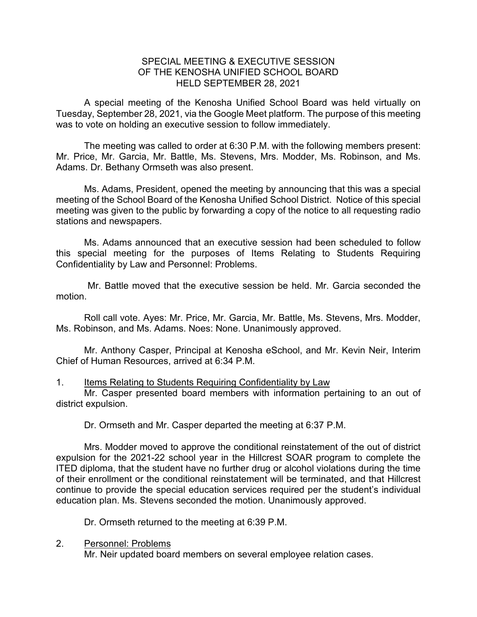## SPECIAL MEETING & EXECUTIVE SESSION OF THE KENOSHA UNIFIED SCHOOL BOARD HELD SEPTEMBER 28, 2021

A special meeting of the Kenosha Unified School Board was held virtually on Tuesday, September 28, 2021, via the Google Meet platform. The purpose of this meeting was to vote on holding an executive session to follow immediately.

The meeting was called to order at 6:30 P.M. with the following members present: Mr. Price, Mr. Garcia, Mr. Battle, Ms. Stevens, Mrs. Modder, Ms. Robinson, and Ms. Adams. Dr. Bethany Ormseth was also present.

Ms. Adams, President, opened the meeting by announcing that this was a special meeting of the School Board of the Kenosha Unified School District. Notice of this special meeting was given to the public by forwarding a copy of the notice to all requesting radio stations and newspapers.

Ms. Adams announced that an executive session had been scheduled to follow this special meeting for the purposes of Items Relating to Students Requiring Confidentiality by Law and Personnel: Problems.

Mr. Battle moved that the executive session be held. Mr. Garcia seconded the motion.

Roll call vote. Ayes: Mr. Price, Mr. Garcia, Mr. Battle, Ms. Stevens, Mrs. Modder, Ms. Robinson, and Ms. Adams. Noes: None. Unanimously approved.

Mr. Anthony Casper, Principal at Kenosha eSchool, and Mr. Kevin Neir, Interim Chief of Human Resources, arrived at 6:34 P.M.

## 1. Items Relating to Students Requiring Confidentiality by Law

Mr. Casper presented board members with information pertaining to an out of district expulsion.

Dr. Ormseth and Mr. Casper departed the meeting at 6:37 P.M.

Mrs. Modder moved to approve the conditional reinstatement of the out of district expulsion for the 2021-22 school year in the Hillcrest SOAR program to complete the ITED diploma, that the student have no further drug or alcohol violations during the time of their enrollment or the conditional reinstatement will be terminated, and that Hillcrest continue to provide the special education services required per the student's individual education plan. Ms. Stevens seconded the motion. Unanimously approved.

Dr. Ormseth returned to the meeting at 6:39 P.M.

## 2. Personnel: Problems

Mr. Neir updated board members on several employee relation cases.